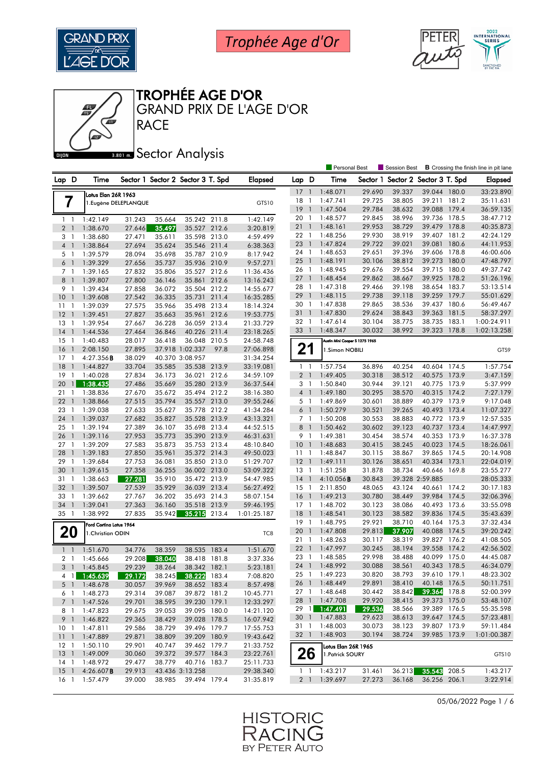



### TROPHÉE AGE D'OR

**RACE** GRAND PRIX DE L'AGE D'OR

## **Bana** Sector Analysis

|                                   |                         |                       |        |                                   |       |                |                 |                | <b>Personal Best</b>           |          | <b>Session Best</b>      |                 |       | <b>B</b> Crossing the finish line in pit lane |
|-----------------------------------|-------------------------|-----------------------|--------|-----------------------------------|-------|----------------|-----------------|----------------|--------------------------------|----------|--------------------------|-----------------|-------|-----------------------------------------------|
| Lap D                             | Time                    |                       |        | Sector 1 Sector 2 Sector 3 T. Spd |       | <b>Elapsed</b> | Lap D           |                | Time                           | Sector 1 | Sector 2 Sector 3 T. Spd |                 |       | <b>Elapsed</b>                                |
|                                   |                         |                       |        |                                   |       |                | 17              | $\overline{1}$ | 1:48.071                       | 29.690   | 39.337                   | 39.044 180.0    |       | 33:23.890                                     |
| 7                                 | Lotus Elan 26R 1963     | 1. Eugène DELEPLANQUE |        |                                   |       | GTS10          | 18              | $\overline{1}$ | 1:47.741                       | 29.725   | 38.805                   | 39.211 181.2    |       | 35:11.631                                     |
|                                   |                         |                       |        |                                   |       |                | $19-1$          |                | 1:47.504                       | 29.784   | 38.632                   | 39.088 179.4    |       | 36:59.135                                     |
| 1 <sub>1</sub>                    | 1:42.149                | 31.243                | 35.664 | 35.242 211.8                      |       | 1:42.149       | 20 <sub>1</sub> |                | 1:48.577                       | 29.845   | 38.996                   | 39.736 178.5    |       | 38:47.712                                     |
| 2 <sup>1</sup>                    | 1:38.670                | 27.646                | 35.497 | 35.527 212.6                      |       | 3:20.819       | 211             |                | 1:48.161                       | 29.953   | 38.729                   | 39.479 178.8    |       | 40:35.873                                     |
| 3<br>$\overline{1}$               | 1:38.680                | 27.471                | 35.611 | 35.598 213.0                      |       | 4:59.499       | 22 1            |                | 1:48.256                       | 29.930   | 38.919                   | 39.407 181.2    |       | 42:24.129                                     |
| $\overline{4}$<br>$\overline{1}$  | 1:38.864                | 27.694                | 35.624 | 35.546 211.4                      |       | 6:38.363       | 23              | $\overline{1}$ | 1:47.824                       | 29.722   | 39.021                   | 39.081 180.6    |       | 44:11.953                                     |
| 5 <sub>1</sub>                    | 1:39.579                | 28.094                | 35.698 | 35.787 210.9                      |       | 8:17.942       | 24 1            |                | 1:48.653                       | 29.651   | 39.396                   | 39.606 178.8    |       | 46:00.606                                     |
| 6 <sup>1</sup>                    | 1:39.329                | 27.656                | 35.737 | 35.936 210.9                      |       | 9:57.271       | $25 \quad 1$    |                | 1:48.191                       | 30.106   | 38.812                   | 39.273 180.0    |       | 47:48.797                                     |
| 7 <sub>1</sub>                    | 1:39.165                | 27.832                | 35.806 | 35.527 212.6                      |       | 11:36.436      | 26 1            |                | 1:48.945                       | 29.676   | 39.554                   | 39.715 180.0    |       | 49:37.742                                     |
| 8<br>$\overline{1}$               | 1:39.807                | 27.800                | 36.146 | 35.861                            | 212.6 | 13:16.243      | $27-1$          |                | 1:48.454                       | 29.862   | 38.667                   | 39.925 178.2    |       | 51:26.196                                     |
| 9<br>$\overline{1}$               | 1:39.434                | 27.858                | 36.072 | 35.504 212.2                      |       | 14:55.677      | 28 1            |                | 1:47.318                       | 29.466   | 39.198                   | 38.654 183.7    |       | 53:13.514                                     |
| 10 <sup>°</sup><br>$\overline{1}$ | 1:39.608                | 27.542                | 36.335 | 35.731 211.4                      |       | 16:35.285      | 29              | $\overline{1}$ | 1:48.115                       | 29.738   | 39.118                   | 39.259          | 179.7 | 55:01.629                                     |
| 11<br>$\overline{1}$              | 1:39.039                | 27.575                | 35.966 | 35.498 213.4                      |       | 18:14.324      | 30 1            |                | 1:47.838                       | 29.865   | 38.536                   | 39.437 180.6    |       | 56:49.467                                     |
| 12<br>$\overline{1}$              | 1:39.451                | 27.827                | 35.663 | 35.961 212.6                      |       | 19:53.775      | 31 1            |                | 1:47.830                       | 29.624   | 38.843                   | 39.363          | 181.5 | 58:37.297                                     |
| 13<br>$\overline{1}$              | 1:39.954                | 27.667                | 36.228 | 36.059 213.4                      |       | 21:33.729      | 32              | $\overline{1}$ | 1:47.614                       | 30.104   | 38.775                   | 38.735          | 183.1 | 1:00:24.911                                   |
| 14<br>$\overline{1}$              | 1:44.536                | 27.464                | 36.846 | 40.226 211.4                      |       | 23:18.265      | 33 1            |                | 1:48.347                       | 30.032   | 38.992                   | 39.323 178.8    |       | 1:02:13.258                                   |
| 15<br>$\mathbf{1}$                | 1:40.483                | 28.017                | 36.418 | 36.048 210.5                      |       | 24:58.748      |                 |                | Austin Mini Cooper S 1275 1965 |          |                          |                 |       |                                               |
| 16<br>$\overline{1}$              | 2:08.150                | 27.895                |        | 37.918 1:02.337                   | 97.8  | 27:06.898      | 21              |                | 1.Simon NOBILI                 |          |                          |                 |       | GTS9                                          |
| $17-1$                            | 4:27.356B               | 38.029                |        | 40.370 3:08.957                   |       | 31:34.254      |                 |                |                                |          |                          |                 |       |                                               |
| 18<br>$\overline{1}$              | 1:44.827                | 33.704                | 35.585 | 35.538 213.9                      |       | 33:19.081      | $1\quad$        |                | 1:57.754                       | 36.896   | 40.254                   | 40.604          | 174.5 | 1:57.754                                      |
| 19<br>-1                          | 1:40.028                | 27.834                | 36.173 | 36.021 212.6                      |       | 34:59.109      | 2 <sub>1</sub>  |                | 1:49.405                       | 30.318   | 38.512                   | 40.575 173.9    |       | 3:47.159                                      |
| 20<br>$\mathbf{1}$                | 1:38.435                | 27.486                | 35.669 | 35.280 213.9                      |       | 36:37.544      | 3 <sub>1</sub>  |                | 1:50.840                       | 30.944   | 39.121                   | 40.775 173.9    |       | 5:37.999                                      |
| 21<br>$\mathbf{1}$                | 1:38.836                | 27.670                | 35.672 | 35.494 212.2                      |       | 38:16.380      | 4 <sup>1</sup>  |                | 1:49.180                       | 30.295   | 38.570                   | 40.315 174.2    |       | 7:27.179                                      |
| 22<br>$\overline{1}$              | 1:38.866                | 27.515                | 35.794 | 35.557 213.0                      |       | 39:55.246      | 5 <sub>1</sub>  |                | 1:49.869                       | 30.601   | 38.889                   | 40.379 173.9    |       | 9:17.048                                      |
| 23<br>$\overline{1}$              | 1:39.038                | 27.633                | 35.627 | 35.778 212.2                      |       | 41:34.284      | 6 <sup>1</sup>  |                | 1:50.279                       | 30.521   | 39.265                   | 40.493 173.4    |       | 11:07.327                                     |
| 24<br>$\mathbf{1}$                | 1:39.037                | 27.682                | 35.827 | 35.528 213.9                      |       | 43:13.321      | 7 <sub>1</sub>  |                | 1:50.208                       | 30.553   | 38.883                   | 40.772 173.9    |       | 12:57.535                                     |
| 25<br>$\overline{1}$              | 1:39.194                | 27.389                | 36.107 | 35.698 213.4                      |       | 44:52.515      | 8               | $\blacksquare$ | 1:50.462                       | 30.602   | 39.123                   | 40.737          | 173.4 | 14:47.997                                     |
| 26<br>$\mathbf{1}$                | 1:39.116                | 27.953                | 35.773 | 35.390 213.9                      |       | 46:31.631      | 9 1             |                | 1:49.381                       | 30.454   | 38.574                   | 40.353 173.9    |       | 16:37.378                                     |
| 27<br>$\overline{1}$              | 1:39.209                | 27.583                | 35.873 | 35.753 213.4                      |       | 48:10.840      | 10 <sub>1</sub> |                | 1:48.683                       | 30.415   | 38.245                   | 40.023 174.5    |       | 18:26.061                                     |
| 28<br>$\overline{1}$              | 1:39.183                | 27.850                | 35.961 | 35.372 214.3                      |       | 49:50.023      | $11-1$          |                | 1:48.847                       | 30.115   | 38.867                   | 39.865 174.5    |       | 20:14.908                                     |
| 29<br>$\overline{1}$              | 1:39.684                | 27.753                | 36.081 | 35.850 213.0                      |       | 51:29.707      | $12-1$          |                | 1:49.111                       | 30.126   | 38.651                   | 40.334 173.1    |       | 22:04.019                                     |
| 30<br>$\overline{1}$              | 1:39.615                | 27.358                | 36.255 | 36.002 213.0                      |       | 53:09.322      | $13-1$          |                | 1:51.258                       | 31.878   | 38.734                   | 40.646 169.8    |       | 23:55.277                                     |
| 31<br>$\mathbf{1}$                | 1:38.663                | 27.281                | 35.910 | 35.472 213.9                      |       | 54:47.985      | $14-1$          |                | $4:10.056$ <b>B</b>            | 30.843   |                          | 39.328 2:59.885 |       | 28:05.333                                     |
| 32<br>$\overline{1}$              | 1:39.507                | 27.539                | 35.929 | 36.039 213.4                      |       | 56:27.492      | $15-1$          |                | 2:11.850                       | 48.065   | 43.124                   | 40.661 174.2    |       | 30:17.183                                     |
| 33<br>-1                          | 1:39.662                | 27.767                | 36.202 | 35.693 214.3                      |       | 58:07.154      | $16-1$          |                | 1:49.213                       | 30.780   | 38.449                   | 39.984 174.5    |       | 32:06.396                                     |
| 34<br>$\overline{1}$              | 1:39.041                | 27.363                | 36.160 | 35.518 213.9                      |       | 59:46.195      | $17-1$          |                | 1:48.702                       | 30.123   | 38.086                   | 40.493 173.6    |       | 33:55.098                                     |
| $35-1$                            | 1:38.992                | 27.835                | 35.942 | 35.215                            | 213.4 | 1:01:25.187    | 18              | $\overline{1}$ | 1:48.541                       | 30.123   | 38.582                   | 39.836 174.5    |       | 35:43.639                                     |
|                                   | Ford Cortina Lotus 1964 |                       |        |                                   |       |                | $19-1$          |                | 1:48.795                       | 29.921   | 38.710                   | 40.164 175.3    |       | 37:32.434                                     |
| 20                                | 1. Christian ODIN       |                       |        |                                   |       | TC8            | 201             |                | 1:47.808                       | 29.813   | 37.907                   | 40.088          | 174.5 | 39:20.242                                     |
|                                   |                         |                       |        |                                   |       |                | 21 1            |                | 1:48.263                       | 30.117   | 38.319                   | 39.827 176.2    |       | 41:08.505                                     |
| $1\quad1$                         | 1:51.670                | 34.776                | 38.359 | 38.535 183.4                      |       | 1:51.670       | 221             |                | 1:47.997                       | 30.245   | 38.194                   | 39.558 174.2    |       | 42:56.502                                     |
| 2 <sub>1</sub>                    | 1:45.666                | 29.208                | 38.040 | 38.418                            | 181.8 | 3:37.336       | 23              | -1             | 1:48.585                       | 29.998   | 38.488                   | 40.099          | 175.0 | 44:45.087                                     |
| 3 <sup>1</sup>                    | 1:45.845                | 29.239                | 38.264 | 38.342 182.1                      |       | 5:23.181       | 24 1            |                | 1:48.992                       | 30.088   | 38.561                   | 40.343 178.5    |       | 46:34.079                                     |
| 4 1                               | 1:45.639                | 29.172                | 38.245 | 38.222 183.4                      |       | 7:08.820       |                 |                | 25 1 1:49.223                  | 30.820   | 38.793                   | 39.610 179.1    |       | 48:23.302                                     |
|                                   | 5 1 1:48.678            | 30.057                | 39.969 | 38.652 183.4                      |       | 8:57.498       |                 |                | 26 1 1:48.449                  | 29.891   | 38.410                   | 40.148 176.5    |       | 50:11.751                                     |
|                                   | 6 1 1:48.273            | 29.314                | 39.087 | 39.872 181.2                      |       | 10:45.771      |                 |                | 27 1 1:48.648                  | 30.442   | 38.842                   | 39.364 178.8    |       | 52:00.399                                     |
|                                   | 7 1 1:47.526            | 29.701                | 38.595 | 39.230 179.1                      |       | 12:33.297      |                 |                | 28 1 1:47.708                  | 29.920   | 38.415                   | 39.373 175.0    |       | 53:48.107                                     |
| 8 1                               | 1:47.823                | 29.675                | 39.053 | 39.095 180.0                      |       | 14:21.120      |                 |                | 29 1 1:47.491                  | 29.536   | 38.566                   | 39.389 176.5    |       | 55:35.598                                     |
|                                   | 9 1 1:46.822            | 29.365                | 38.429 | 39.028 178.5                      |       | 16:07.942      |                 |                | 30 1 1:47.883                  | 29.623   | 38.613                   | 39.647 174.5    |       | 57:23.481                                     |
| 10 <sub>1</sub>                   | 1:47.811                | 29.586                | 38.729 | 39.496 179.7                      |       | 17:55.753      | 31 1            |                | 1:48.003                       | 30.073   | 38.123                   | 39.807 173.9    |       | 59:11.484                                     |
|                                   | 11 1 1:47.889           | 29.871                | 38.809 | 39.209 180.9                      |       | 19:43.642      | 32 1            |                | 1:48.903                       | 30.194   | 38.724                   | 39.985 173.9    |       | 1:01:00.387                                   |
|                                   | 12 1 1:50.110           | 29.901                | 40.747 | 39.462 179.7                      |       | 21:33.752      |                 |                | Lotus Elan 26R 1965            |          |                          |                 |       |                                               |
|                                   | 13 1 1:49.009           | 30.060                | 39.372 | 39.577 184.3                      |       | 23:22.761      |                 | 26             | 1. Patrick SOURY               |          |                          |                 |       | GTS10                                         |
| $14-1$                            | 1:48.972                | 29.477                | 38.779 | 40.716 183.7                      |       | 25:11.733      |                 |                |                                |          |                          |                 |       |                                               |
| $15-1$                            | 4:26.607B               | 29.913                |        | 43.436 3:13.258                   |       | 29:38.340      |                 | $1\quad1$      | 1:43.217                       | 31.461   | 36.213                   | 35.543 208.5    |       | 1:43.217                                      |
| 16 <sub>1</sub>                   | 1:57.479                | 39.000                | 38.985 | 39.494 179.4                      |       | 31:35.819      |                 | 2 <sup>1</sup> | 1:39.697                       | 27.273   | 36.168                   | 36.256 206.1    |       | 3:22.914                                      |

05/06/2022 Page 1 / 6

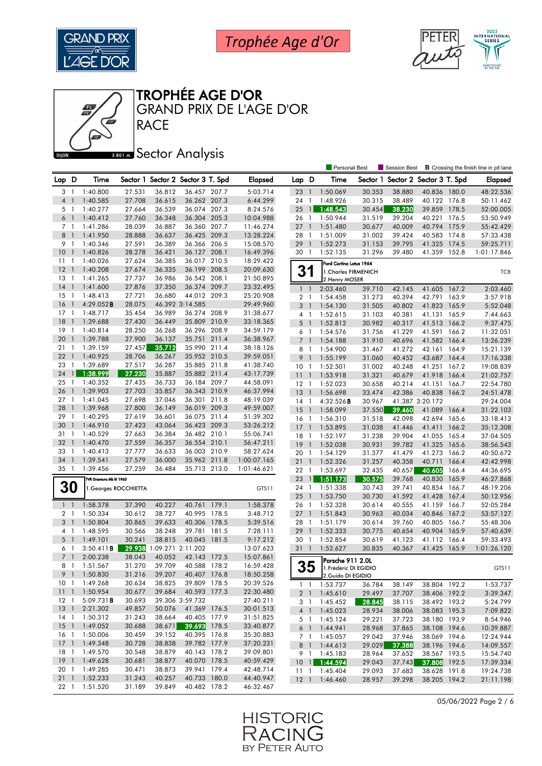





**RACE** GRAND PRIX DE L'AGE D'OR

#### **Bana** Sector Analysis

|                 |                          |                          |        |                   |                                   |       |                |                |                | <b>Personal Best</b>                   |        | Session Best                      |                 |       | <b>B</b> Crossing the finish line in pit lane |
|-----------------|--------------------------|--------------------------|--------|-------------------|-----------------------------------|-------|----------------|----------------|----------------|----------------------------------------|--------|-----------------------------------|-----------------|-------|-----------------------------------------------|
| Lap D           |                          | Time                     |        |                   | Sector 1 Sector 2 Sector 3 T. Spd |       | <b>Elapsed</b> | Lap D          |                | Time                                   |        | Sector 1 Sector 2 Sector 3 T. Spd |                 |       | <b>Elapsed</b>                                |
| 3 <sub>1</sub>  |                          | 1:40.800                 | 27.531 | 36.812            | 36.457 207.7                      |       | 5:03.714       | 23             | $\overline{1}$ | 1:50.069                               | 30.353 | 38.880                            | 40.836 180.0    |       | 48:22.536                                     |
| 4 <sup>1</sup>  |                          | 1:40.585                 | 27.708 | 36.615            | 36.262 207.3                      |       | 6:44.299       | 24             | $\overline{1}$ | 1:48.926                               | 30.315 | 38.489                            | 40.122 176.8    |       | 50:11.462                                     |
| 5 <sub>1</sub>  |                          | 1:40.277                 | 27.664 | 36.539            | 36.074 207.3                      |       | 8:24.576       | 25             | $\mathbf{1}$   | 1:48.543                               | 30.454 | 38.230                            | 39.859 178.5    |       | 52:00.005                                     |
| $6-1$           |                          | 1:40.412                 | 27.760 | 36.348            | 36.304 205.3                      |       | 10:04.988      | 26             | -1             | 1:50.944                               | 31.519 | 39.204                            | 40.221          | 176.5 | 53:50.949                                     |
| 7 <sup>1</sup>  |                          | 1:41.286                 | 28.039 | 36.887            | 36.360 207.7                      |       | 11:46.274      | $27-1$         |                | 1:51.480                               | 30.677 | 40.009                            | 40.794 175.9    |       | 55:42.429                                     |
| 8 <sup>1</sup>  |                          | 1:41.950                 | 28.888 | 36.637            | 36.425 209.3                      |       | 13:28.224      | 28 1           |                | 1:51.009                               | 31.002 | 39.424                            | 40.583 174.8    |       | 57:33.438                                     |
| 9 1             |                          | 1:40.346                 | 27.591 | 36.389            | 36.366 206.5                      |       | 15:08.570      | 29             | $\overline{1}$ | 1:52.273                               | 31.153 | 39.795                            | 41.325          | 174.5 | 59:25.711                                     |
| 10              | $\overline{1}$           | 1:40.826                 | 28.278 | 36.421            | 36.127 208.1                      |       | 16:49.396      | 30 1           |                | 1:52.135                               | 31.296 | 39.480                            | 41.359 152.8    |       | 1:01:17.846                                   |
| 11              | $\overline{1}$           | 1:40.026                 | 27.624 | 36.385            | 36.017 210.5                      |       | 18:29.422      |                |                |                                        |        |                                   |                 |       |                                               |
| 12              | $\overline{1}$           | 1:40.208                 | 27.674 | 36.335            | 36.199 208.5                      |       | 20:09.630      | 31             |                | Ford Cortina Lotus 1964                |        |                                   |                 |       |                                               |
| 13              | $\overline{1}$           | 1:41.265                 | 27.737 | 36.986            | 36.542 208.1                      |       | 21:50.895      |                |                | 1. Charles FIRMENICH<br>2. Henry MOSER |        |                                   |                 |       | TC8                                           |
| 14              | $\overline{\phantom{a}}$ | 1:41.600                 | 27.876 | 37.350            | 36.374 209.7                      |       | 23:32.495      | $1\quad$       |                | 2:03.460                               | 39.710 | 42.145                            | 41.605 167.2    |       | 2:03.460                                      |
| 15              | -1                       | 1:48.413                 | 27.721 | 36.680            | 44.012 209.3                      |       | 25:20.908      | 2 <sub>1</sub> |                | 1:54.458                               | 31.273 | 40.394                            | 42.791 163.9    |       | 3:57.918                                      |
| 16              | $\overline{1}$           | $4:29.052$ B             | 28.075 |                   | 46.392 3:14.585                   |       | 29:49.960      | 3              | $\overline{1}$ | 1:54.130                               | 31.505 | 40.802                            | 41.823 165.9    |       | 5:52.048                                      |
| 17              | $\overline{1}$           | 1:48.717                 | 35.454 | 36.989            | 36.274 208.9                      |       | 31:38.677      | 4 1            |                | 1:52.615                               | 31.103 | 40.381                            | 41.131 165.9    |       | 7:44.663                                      |
| 18              | $\overline{1}$           | 1:39.688                 | 27.430 | 36.449            | 35.809 210.9                      |       | 33:18.365      | 5              | $\overline{1}$ | 1:52.812                               | 30.982 | 40.317                            | 41.513 166.2    |       | 9:37.475                                      |
| 19              | $\overline{1}$           | 1:40.814                 | 28.250 | 36.268            | 36.296 208.9                      |       | 34:59.179      | 6 1            |                | 1:54.576                               | 31.756 | 41.229                            | 41.591          | 166.2 | 11:32.051                                     |
| 20              | $\overline{1}$           | 1:39.788                 | 27.900 | 36.137            | 35.751 211.4                      |       | 36:38.967      | 7 <sub>1</sub> |                | 1:54.188                               | 31.910 | 40.696                            | 41.582          | 166.4 | 13:26.239                                     |
| 21              | $\overline{1}$           | 1:39.159                 | 27.457 | 35.712            | 35.990 211.4                      |       | 38:18.126      | 8              | -1             | 1:54.900                               | 31.467 | 41.272                            | 42.161          | 164.9 | 15:21.139                                     |
| 22              | $\overline{1}$           | 1:40.925                 | 28.706 | 36.267            | 35.952 210.5                      |       | 39:59.051      | 9              | $\overline{1}$ | 1:55.199                               | 31.060 | 40.452                            | 43.687 164.4    |       | 17:16.338                                     |
| 23              | $\mathbf{1}$             | 1:39.689                 | 27.517 | 36.287            | 35.885 211.8                      |       | 41:38.740      | 10             | -1             | 1:52.501                               | 31.002 | 40.248                            | 41.251 167.2    |       | 19:08.839                                     |
| 24              | $\mathbf{1}$             | 1:38.999                 | 27.230 | 35.887            | 35.882 211.4                      |       | 43:17.739      | 11             | $\overline{1}$ | 1:53.918                               | 31.321 | 40.679                            | 41.918 166.4    |       | 21:02.757                                     |
| 25              | $\overline{1}$           | 1:40.352                 | 27.435 | 36.733            | 36.184 209.7                      |       | 44:58.091      | $12-1$         |                | 1:52.023                               | 30.658 | 40.214                            | 41.151          | 166.7 | 22:54.780                                     |
| 26              | $\overline{1}$           | 1:39.903                 | 27.703 | 35.857            | 36.343 210.9                      |       | 46:37.994      | 13             | $\overline{1}$ | 1:56.698                               | 33.474 | 42.386                            | 40.838          | 166.2 | 24:51.478                                     |
| 27              | $\overline{1}$           | 1:41.045                 | 27.698 | 37.046            | 36.301 211.8                      |       | 48:19.039      | $14-1$         |                | $4:32.526$ <b>B</b>                    | 30.967 |                                   | 41.387 3:20.172 |       | 29:24.004                                     |
| 28              | $\overline{1}$           | 1:39.968                 | 27.800 | 36.149            | 36.019 209.3                      |       | 49:59.007      | 15             | $\overline{1}$ | 1:58.099                               | 37.550 | 39.460                            | 41.089          | 166.4 | 31:22.103                                     |
| 29              | -1                       | 1:40.295                 | 27.619 | 36.601            | 36.075 211.4                      |       | 51:39.302      | $16-1$         |                | 1:56.310                               | 31.518 | 42.098                            | 42.694          | 165.6 | 33:18.413                                     |
| 30              | $\overline{1}$           | 1:46.910                 | 27.423 | 43.064            | 36.423 209.3                      |       | 53:26.212      | 17             | $\overline{1}$ | 1:53.895                               | 31.038 | 41.446                            | 41.411          | 166.2 | 35:12.308                                     |
| 31 1            |                          | 1:40.529                 | 27.663 | 36.384            | 36.482 210.1                      |       | 55:06.741      | 18             | -1             | 1:52.197                               | 31.238 | 39.904                            | 41.055 165.4    |       | 37:04.505                                     |
| 32              | $\overline{1}$           | 1:40.470                 | 27.559 | 36.357            | 36.554 210.1                      |       | 56:47.211      | 19             | $\overline{1}$ | 1:52.038                               | 30.931 | 39.782                            | 41.325          | 165.6 | 38:56.543                                     |
| 33              | -1                       | 1:40.413                 | 27.777 | 36.633            | 36.003 210.9                      |       | 58:27.624      | 20             | $\overline{1}$ | 1:54.129                               | 31.377 | 41.479                            | 41.273          | 166.2 | 40:50.672                                     |
| 34              | $\overline{1}$           | 1:39.541                 | 27.579 | 36.000            | 35.962 211.8                      |       | 1:00:07.165    | 21             | $\overline{1}$ | 1:52.326                               | 31.257 | 40.358                            | 40.711          | 166.4 | 42:42.998                                     |
| 35 1            |                          | 1:39.456                 | 27.259 | 36.484            | 35.713 213.0                      |       | 1:01:46.621    | $22 \quad 1$   |                | 1:53.697                               | 32.435 | 40.657                            | 40.605          | 166.4 | 44:36.695                                     |
|                 |                          | TVR Grantura Mk III 1963 |        |                   |                                   |       |                | 23             | $\overline{1}$ | 1:51.173                               | 30.575 | 39.768                            | 40.830 165.9    |       | 46:27.868                                     |
| <b>30</b>       |                          | 1. Georges ROCCHIETTA    |        |                   |                                   |       | GTS11          | 24 1           |                | 1:51.338                               | 30.743 | 39.741                            | 40.854          | 166.7 | 48:19.206                                     |
|                 |                          |                          |        |                   |                                   |       |                | 25             | $\overline{1}$ | 1:53.750                               | 30.730 | 41.592                            | 41.428          | 167.4 | 50:12.956                                     |
| $1\quad$        |                          | 1:58.378                 | 37.390 | 40.227            | 40.761 179.1                      |       | 1:58.378       | 26 1           |                | 1:52.328                               | 30.614 | 40.555                            | 41.159 166.7    |       | 52:05.284                                     |
| 2 <sub>1</sub>  |                          | 1:50.334                 | 30.612 | 38.727            | 40.995 178.5                      |       | 3:48.712       | $27-1$         |                | 1:51.843                               | 30.963 | 40.034                            | 40.846 167.2    |       | 53:57.127                                     |
| 3 <sup>1</sup>  |                          | 1:50.804                 | 30.865 | 39.633            | 40.306 178.5                      |       | 5:39.516       | 28 1           |                | 1:51.179                               | 30.614 | 39.760                            | 40.805 166.7    |       | 55:48.306                                     |
| 4 <sub>1</sub>  |                          | 1:48.595                 | 30.566 | 38.248            | 39.781 181.5                      |       | 7:28.111       | 29             | $\overline{1}$ | 1:52.333                               | 30.775 | 40.654                            | 40.904 165.9    |       | 57:40.639                                     |
| $5-1$           |                          | 1:49.101                 | 30.241 | 38.815            | 40.045 181.5                      |       | 9:17.212       | 30             | $\mathbf{1}$   | 1:52.854                               | 30.619 | 41.123                            | 41.112          | 166.4 | 59:33.493                                     |
| 6 1             |                          | $3:50.411$ <b>B</b>      | 29.938 | 1:09.271 2:11.202 |                                   |       | 13:07.623      | 311            |                | 1:52.627                               | 30.835 | 40.367                            | 41.425 165.9    |       | 1:01:26.120                                   |
| 7 <sub>1</sub>  |                          | 2:00.238                 | 38.043 | 40.052            | 42.143                            | 172.5 | 15:07.861      |                |                | Porsche 911 2.0L                       |        |                                   |                 |       |                                               |
| 8 1             |                          | 1:51.567                 | 31.270 | 39.709            | 40.588 178.2                      |       | 16:59.428      |                | 35             | 1. Frédéric DI EGIDIO                  |        |                                   |                 |       | GTS11                                         |
|                 |                          | 9 1 1:50.830             | 31.216 | 39.207            | 40.407 176.8                      |       | 18:50.258      |                |                | 12.Guido DI EGIDIO                     |        |                                   |                 |       |                                               |
|                 |                          | 10 1 1:49.268            | 30.634 | 38.825            | 39.809 178.5                      |       | 20:39.526      |                |                | $1 \quad 1 \quad 1:53.737$             | 36.784 | 38.149                            | 38.804 192.2    |       | 1:53.737                                      |
|                 |                          | 11 1 1:50.954            | 30.677 | 39.684            | 40.593 177.3                      |       | 22:30.480      |                |                | 2 1 1:45.610                           | 29.497 | 37.707                            | 38.406 192.2    |       | 3:39.347                                      |
| $12-1$          |                          | 5:09.731B                | 30.693 |                   | 39.306 3:59.732                   |       | 27:40.211      |                | 3 1            | 1:45.452                               | 28.845 | 38.115                            | 38.492 193.2    |       | 5:24.799                                      |
|                 |                          | 13 1 2:21.302            | 49.857 | 50.076            | 41.369 176.5                      |       | 30:01.513      |                |                | 4 1 1:45.023                           | 28.934 | 38.006                            | 38.083 195.3    |       | 7:09.822                                      |
|                 |                          | 14 1 1:50.312            | 31.243 | 38.664            | 40.405 177.9                      |       | 31:51.825      | 5 1            |                | 1:45.124                               | 29.221 | 37.723                            | 38.180 193.9    |       | 8:54.946                                      |
| 15 <sub>1</sub> |                          | 1:49.052                 | 30.688 | 38.671            | 39.693 178.5                      |       | 33:40.877      |                |                | $6 \quad 1 \quad 1:44.941$             | 28.968 | 37.865                            | 38.108 194.6    |       | 10:39.887                                     |
| 16 <sub>1</sub> |                          | 1:50.006                 | 30.459 | 39.152            | 40.395 176.8                      |       | 35:30.883      |                |                | 7 1 1:45.057                           | 29.042 | 37.946                            | 38.069 194.6    |       | 12:24.944                                     |
|                 |                          | 17 1 1:49.348            | 30.728 | 38.838            | 39.782 177.9                      |       | 37:20.231      |                |                | 8 1 1:44.613                           | 29.029 | 37.388                            | 38.196 194.6    |       | 14:09.557                                     |
| 18 1            |                          | 1:49.570                 | 30.548 | 38.879            | 40.143 178.2                      |       | 39:09.801      |                |                | 9 1 1:45.183                           | 28.964 | 37.652                            | 38.567 193.5    |       | 15:54.740                                     |
|                 |                          | 19 1 1:49.628            | 30.681 | 38.877            | 40.070 178.5                      |       | 40:59.429      |                |                | 10 1 1:44.594                          | 29.043 | 37.743                            | 37.808 192.5    |       | 17:39.334                                     |
| 20 1            |                          | 1:49.285                 | 30.471 | 38.873            | 39.941 179.4                      |       | 42:48.714      |                |                | 11 1:45.404                            | 29.093 | 37.683                            | 38.628 191.8    |       | 19:24.738                                     |
| 211             |                          | 1:52.233                 | 31.243 | 40.257            | 40.733 180.0                      |       | 44:40.947      |                |                | 12 1 1:46.460                          | 28.957 | 39.298                            | 38.205 194.2    |       | 21:11.198                                     |
| $22 \quad 1$    |                          | 1:51.520                 | 31.189 | 39.849            | 40.482 178.2                      |       | 46:32.467      |                |                |                                        |        |                                   |                 |       |                                               |

05/06/2022 Page 2 / 6

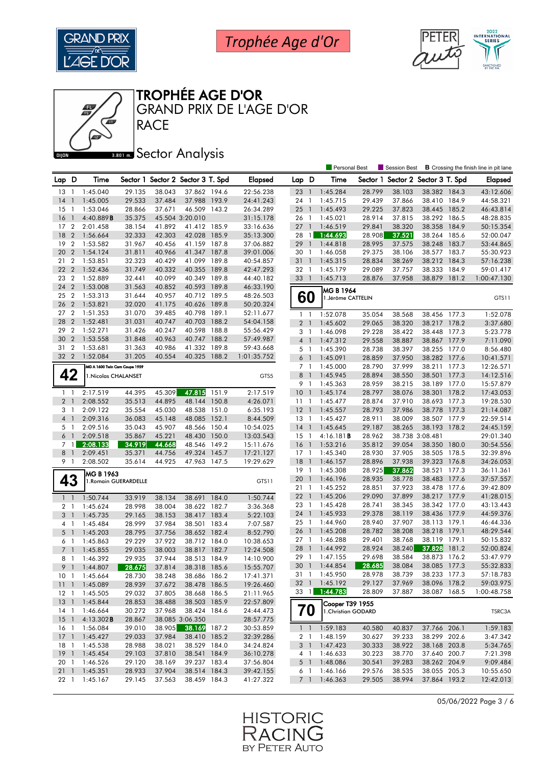





**RACE** GRAND PRIX DE L'AGE D'OR

#### **Bana** Sector Analysis

|                     |                                |                               |                  |                  |                                   |       |                        |                 |                          | <b>Personal Best</b>           |        | <b>B</b> Crossing the finish line in pit lane<br>Session Best |                              |       |                      |
|---------------------|--------------------------------|-------------------------------|------------------|------------------|-----------------------------------|-------|------------------------|-----------------|--------------------------|--------------------------------|--------|---------------------------------------------------------------|------------------------------|-------|----------------------|
| Lap D               |                                | Time                          |                  |                  | Sector 1 Sector 2 Sector 3 T. Spd |       | <b>Elapsed</b>         | Lap D           |                          | Time                           |        | Sector 1 Sector 2 Sector 3 T. Spd                             |                              |       | Elapsed              |
| 13                  | $\overline{1}$                 | 1:45.040                      | 29.135           | 38.043           | 37.862 194.6                      |       | 22:56.238              | 23              | $\overline{1}$           | 1:45.284                       | 28.799 | 38.103                                                        | 38.382 184.3                 |       | 43:12.606            |
| 14                  | $\mathbf{1}$                   | 1:45.005                      | 29.533           | 37.484           | 37.988 193.9                      |       | 24:41.243              | 24 1            |                          | 1:45.715                       | 29.439 | 37.866                                                        | 38.410 184.9                 |       | 44:58.321            |
| 15                  | $\overline{1}$                 | 1:53.046                      | 28.866           | 37.671           | 46.509                            | 143.2 | 26:34.289              | 25              | $\overline{1}$           | 1:45.493                       | 29.225 | 37.823                                                        | 38.445                       | 185.2 | 46:43.814            |
| 16                  | $\mathbf{1}$                   | 4:40.889B                     | 35.375           |                  | 45.504 3:20.010                   |       | 31:15.178              | 26              | -1                       | 1:45.021                       | 28.914 | 37.815                                                        | 38.292                       | 186.5 | 48:28.835            |
| 17                  | $\overline{2}$                 | 2:01.458                      | 38.154           | 41.892           | 41.412 185.9                      |       | 33:16.636              | $27-1$          |                          | 1:46.519                       | 29.841 | 38.320                                                        | 38.358                       | 184.9 | 50:15.354            |
| 18                  | $\overline{2}$                 | 1:56.664                      | 32.333           | 42.303           | 42.028                            | 185.9 | 35:13.300              | 28              | $\mathbf{1}$             | 1:44.693                       | 28.908 | 37.521                                                        | 38.264 185.6                 |       | 52:00.047            |
| 19                  | $\overline{2}$                 | 1:53.582                      | 31.967           | 40.456           | 41.159 187.8                      |       | 37:06.882              | 29              | $\bigcirc$               | 1:44.818                       | 28.995 | 37.575                                                        | 38.248                       | 183.7 | 53:44.865            |
| 20                  | $\overline{2}$                 | 1:54.124                      | 31.811           | 40.966           | 41.347                            | 187.8 | 39:01.006              | 30 1            |                          | 1:46.058                       | 29.375 | 38.106                                                        | 38.577 183.7                 |       | 55:30.923            |
| 21                  | $\overline{2}$                 | 1:53.851                      | 32.323           | 40.429           | 41.099                            | 189.8 | 40:54.857              | 31              | $\overline{1}$           | 1:45.315                       | 28.834 | 38.269                                                        | 38.212 184.3                 |       | 57:16.238            |
| 22                  | $\overline{2}$                 | 1:52.436                      | 31.749           | 40.332           | 40.355                            | 189.8 | 42:47.293              | 32 1            |                          | 1:45.179                       | 29.089 | 37.757                                                        | 38.333                       | 184.9 | 59:01.417            |
| 23                  | $\overline{2}$                 | 1:52.889                      | 32.441           | 40.099           | 40.349                            | 189.8 | 44:40.182              | 33              | $\overline{1}$           | 1:45.713                       | 28.876 | 37.958                                                        | 38.879                       | 181.2 | 1:00:47.130          |
| 24                  | $\boldsymbol{2}$               | 1:53.008                      | 31.563           | 40.852           | 40.593                            | 189.8 | 46:33.190              |                 |                          |                                |        |                                                               |                              |       |                      |
| 25                  | $\overline{2}$                 | 1:53.313                      | 31.644           | 40.957           | 40.712 189.5                      |       | 48:26.503              | 60              |                          | MG B 1964<br>1.Jérôme CATTELIN |        |                                                               |                              |       | GTS11                |
| 26                  | $\overline{2}$                 | 1:53.821                      | 32.020           | 41.175           | 40.626                            | 189.8 | 50:20.324              |                 |                          |                                |        |                                                               |                              |       |                      |
| 27                  | $\overline{2}$                 | 1:51.353                      | 31.070           | 39.485           | 40.798                            | 189.1 | 52:11.677              | $1\quad$        |                          | 1:52.078                       | 35.054 | 38.568                                                        | 38.456 177.3                 |       | 1:52.078             |
| 28                  | $\overline{2}$                 | 1:52.481                      | 31.031           | 40.747           | 40.703                            | 188.2 | 54:04.158              | 2 <sub>1</sub>  |                          | 1:45.602                       | 29.065 | 38.320                                                        | 38.217                       | 178.2 | 3:37.680             |
| 29                  | $\overline{2}$                 | 1:52.271                      | 31.426           | 40.247           | 40.598                            | 188.8 | 55:56.429              | 3 1             |                          | 1:46.098                       | 29.228 | 38.422                                                        | 38.448 177.3                 |       | 5:23.778             |
| 30                  | $\overline{2}$                 | 1:53.558                      | 31.848           | 40.963           | 40.747                            | 188.2 | 57:49.987              | 4 <sup>1</sup>  |                          | 1:47.312                       | 29.558 | 38.887                                                        | 38.867 177.9                 |       | 7:11.090             |
| 31                  | $\overline{2}$                 | 1:53.681                      | 31.363           | 40.986           | 41.332 189.8                      |       | 59:43.668              | 5 <sub>1</sub>  |                          | 1:45.390                       | 28.738 | 38.397                                                        | 38.255                       | 177.0 | 8:56.480             |
| 32 2                |                                | 1:52.084                      | 31.205           | 40.554           | 40.325 188.2                      |       | 1:01:35.752            | 6 1             |                          | 1:45.091                       | 28.859 | 37.950                                                        | 38.282 177.6                 |       | 10:41.571            |
|                     |                                | MG A 1600 Twin Cam Coupe 1959 |                  |                  |                                   |       |                        | 7 <sub>1</sub>  |                          | 1:45.000                       | 28.790 | 37.999                                                        | 38.211 177.3                 |       | 12:26.571            |
| 42                  |                                | 1. Nicolas CHALANSET          |                  |                  |                                   |       | GTS5                   | 8 <sup>1</sup>  |                          | 1:45.945                       | 28.894 | 38.550                                                        | 38.501 177.3                 |       | 14:12.516            |
|                     |                                |                               |                  |                  |                                   |       |                        | 9 1             |                          | 1:45.363                       | 28.959 | 38.215                                                        | 38.189 177.0                 |       | 15:57.879            |
| $1\quad$            |                                | 2:17.519                      | 44.395           | 45.309           | 47.815                            | 151.9 | 2:17.519               | 10 <sub>1</sub> |                          | 1:45.174                       | 28.797 | 38.076                                                        | 38.301                       | 178.2 | 17:43.053            |
| 2 <sub>1</sub>      |                                | 2:08.552                      | 35.513           | 44.895           | 48.144                            | 150.8 | 4:26.071               | 1111            |                          | 1:45.477                       | 28.874 | 37.910                                                        | 38.693 177.3                 |       | 19:28.530            |
| 3 1                 |                                | 2:09.122                      | 35.554           | 45.030           | 48.538                            | 151.0 | 6:35.193               | $12-1$          |                          | 1:45.557                       | 28.793 | 37.986                                                        | 38.778                       | 177.3 | 21:14.087            |
| 4 1                 |                                | 2:09.316                      | 36.083           | 45.148           | 48.085                            | 152.1 | 8:44.509               | $13-1$          |                          | 1:45.427                       | 28.911 | 38.009                                                        | 38.507 177.9                 |       | 22:59.514            |
| 5 1                 |                                | 2:09.516                      | 35.043           | 45.907           | 48.566                            | 150.4 | 10:54.025              | 14              | $\overline{1}$           | 1:45.645                       | 29.187 | 38.265                                                        | 38.193                       | 178.2 | 24:45.159            |
| 6                   | $\overline{1}$                 | 2:09.518                      | 35.867           | 45.221           | 48.430                            | 150.0 | 13:03.543              | 15              | -1                       | 4:16.181B                      | 28.962 |                                                               | 38.738 3:08.481              |       | 29:01.340            |
| $7^{\circ}$         | $\mathbf{1}$                   | 2:08.133                      | 34.919           | 44.668           | 48.546                            | 149.2 | 15:11.676              | 16              | $\overline{1}$           | 1:53.216                       | 35.812 | 39.054                                                        | 38.350                       | 180.0 | 30:54.556            |
| 8                   | $\overline{1}$                 | 2:09.451                      | 35.371           | 44.756           | 49.324                            | 145.7 | 17:21.127              | $17-1$          |                          | 1:45.340                       | 28.930 | 37.905                                                        | 38.505                       | 178.5 | 32:39.896            |
| 9 1                 |                                | 2:08.502                      | 35.614           | 44.925           | 47.963 147.5                      |       | 19:29.629              | 18              | $\overline{1}$           | 1:46.157                       | 28.896 | 37.938                                                        | 39.323                       | 176.8 | 34:26.053            |
|                     |                                |                               |                  |                  |                                   |       |                        | 19              | $\overline{1}$           | 1:45.308                       | 28.925 | 37.862                                                        | 38.521                       | 177.3 | 36:11.361            |
|                     |                                | MG B 1963                     |                  |                  |                                   |       |                        | 20              | $\overline{1}$           | 1:46.196                       | 28.935 | 38.778                                                        | 38.483 177.6                 |       | 37:57.557            |
| 43                  |                                | 1. Romain GUERARDELLE         |                  |                  |                                   |       | GTS11                  | 21              | $\overline{1}$           | 1:45.252                       | 28.851 | 37.923                                                        | 38.478 177.6                 |       | 39:42.809            |
| 1 <sub>1</sub>      |                                | 1:50.744                      | 33.919           | 38.134           | 38.691                            | 184.0 | 1:50.744               | 22              | $\overline{\phantom{a}}$ | 1:45.206                       | 29.090 | 37.899                                                        | 38.217 177.9                 |       | 41:28.015            |
|                     |                                |                               | 28.998           | 38.004           | 38.622 182.7                      |       |                        | 23 1            |                          | 1:45.428                       | 28.741 | 38.345                                                        | 38.342 177.0                 |       | 43:13.443            |
| 2 <sub>1</sub><br>3 |                                | 1:45.624                      |                  |                  | 38.417                            | 183.4 | 3:36.368               | 24              | $\overline{1}$           | 1:45.933                       | 29.378 | 38.119                                                        | 38.436 177.9                 |       | 44:59.376            |
| 4                   | $\mathbf{1}$<br>$\overline{1}$ | 1:45.735<br>1:45.484          | 29.165<br>28.999 | 38.153<br>37.984 | 38.501                            | 183.4 | 5:22.103<br>7:07.587   | 25 <sub>1</sub> |                          | 1:44.960                       | 28.940 | 37.907                                                        | 38.113 179.1                 |       | 46:44.336            |
| $5-1$               |                                |                               | 28.795           |                  | 38.652 182.4                      |       | 8:52.790               | 26              | $\overline{1}$           | 1:45.208                       | 28.782 | 38.208                                                        | 38.218                       | 179.1 | 48:29.544            |
| 6 1                 |                                | 1:45.203<br>1:45.863          | 29.229           | 37.756<br>37.922 | 38.712 184.0                      |       | 10:38.653              | 27              | $\mathbf{1}$             | 1:46.288                       | 29.401 | 38.768                                                        | 38.119                       | 179.1 | 50:15.832            |
| 7 <sub>1</sub>      |                                | 1:45.855                      | 29.035           | 38.003           | 38.817 182.7                      |       | 12:24.508              | 28              | $\overline{1}$           | 1:44.992                       | 28.924 | 38.240                                                        | 37.828                       | 181.2 | 52:00.824            |
| 8 1                 |                                |                               | 29.935           | 37.944           | 38.513                            | 184.9 |                        | 29              | $\overline{1}$           | 1:47.155                       | 29.698 | 38.584                                                        | 38.873                       | 176.2 | 53:47.979            |
| 9 1                 |                                | 1:46.392                      | 28.675           | 37.814           | 38.318 185.6                      |       | 14:10.900<br>15:55.707 | 30 <sub>1</sub> |                          | 1:44.854                       | 28.685 | 38.084                                                        | 38.085 177.3                 |       | 55:32.833            |
|                     |                                | 1:44.807                      |                  |                  |                                   |       |                        |                 |                          | 31 1 1:45.950                  | 28,978 | 38.739                                                        | 38.233 177.3                 |       | 57:18.783            |
| 10 1                |                                | 1:45.664                      | 28.730<br>28.939 | 38.248           | 38.686 186.2                      |       | 17:41.371              |                 |                          | 32 1 1:45.192                  | 29.127 | 37.969                                                        | 38.096 178.2                 |       | 59:03.975            |
| 111<br>$12-1$       |                                | 1:45.089                      |                  | 37.672           | 38.478 186.5<br>38.668 186.5      |       | 19:26.460<br>21:11.965 | $33 \quad 1$    |                          | 1:44.783                       | 28.809 | 37.887                                                        | 38.087 168.5                 |       | 1:00:48.758          |
|                     |                                | 1:45.505                      | 29.032           | 37.805           |                                   |       |                        |                 |                          |                                |        |                                                               |                              |       |                      |
| 13 <sup>1</sup>     |                                | 1:45.844                      | 28.853           | 38.488           | 38.503 185.9                      |       | 22:57.809<br>24:44.473 |                 |                          | Cooper T39 1955                |        |                                                               |                              |       |                      |
| $14-1$              |                                | 1:46.664                      | 30.272           | 37.968           | 38.424 184.6                      |       |                        |                 | 70                       | 1. Christian GODARD            |        |                                                               |                              |       | TSRC3A               |
| $15-1$              |                                | 4:13.302B                     | 28.867           |                  | 38.085 3:06.350                   |       | 28:57.775              |                 |                          |                                |        |                                                               | 37.766 206.1                 |       |                      |
| 16 1                |                                | 1:56.084                      | 39.010           | 38.905           | 38.169                            | 187.2 | 30:53.859              |                 |                          | $1 \quad 1 \quad 1:59.183$     | 40.580 | 40.837                                                        |                              |       | 1:59.183             |
| $17-1$              |                                | 1:45.427                      | 29.033           | 37.984           | 38.410 185.2                      |       | 32:39.286              | 2 <sub>1</sub>  |                          | 1:48.159                       | 30.627 | 39.233                                                        | 38.299 202.6<br>38.168 203.8 |       | 3:47.342<br>5:34.765 |
| 18 1                |                                | 1:45.538                      | 28.988           | 38.021           | 38.529 184.0<br>38.541 184.9      |       | 34:24.824              | 3 <sup>1</sup>  |                          | 1:47.423                       | 30.333 | 38.922                                                        | 37.640 200.7                 |       |                      |
| $19-1$              |                                | 1:45.454                      | 29.103           | 37.810           |                                   |       | 36:10.278              |                 | 4 1                      | 1:46.633                       | 30.223 | 38.770                                                        |                              |       | 7:21.398             |
| 20 1                |                                | 1:46.526<br>1:45.351          | 29.120           | 38.169           | 39.237 183.4                      |       | 37:56.804              | $5-1$           |                          | 1:48.086<br>1:46.166           | 30.541 | 39.283                                                        | 38.262 204.9                 |       | 9:09.484             |
| 211                 |                                |                               | 28.933           | 37.904           | 38.514 184.3                      |       | 39:42.155              | 6 1             |                          |                                | 29.576 | 38.535                                                        | 38.055 205.3                 |       | 10:55.650            |
| 22 1                |                                | 1:45.167                      | 29.145           | 37.563           | 38.459 184.3                      |       | 41:27.322              | 7 1             |                          | 1:46.363                       | 29.505 | 38.994                                                        | 37.864 193.2                 |       | 12:42.013            |

05/06/2022 Page 3 / 6

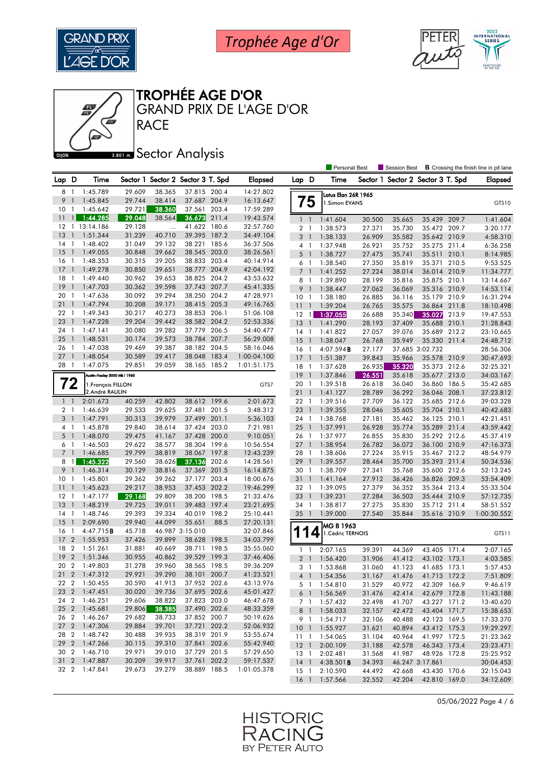





GRAND PRIX DE L'AGE D'OR

#### **Bana** Sector Analysis

**RACE** 

|                 |                          |                              |        |           |                                   |       |                |                |                | Personal Best          |        | <b>Session Best</b>               |                 |       | <b>B</b> Crossing the finish line in pit lane |
|-----------------|--------------------------|------------------------------|--------|-----------|-----------------------------------|-------|----------------|----------------|----------------|------------------------|--------|-----------------------------------|-----------------|-------|-----------------------------------------------|
| Lap D           |                          | Time                         |        |           | Sector 1 Sector 2 Sector 3 T. Spd |       | <b>Elapsed</b> | Lap D          |                | Time                   |        | Sector 1 Sector 2 Sector 3 T. Spd |                 |       | <b>Elapsed</b>                                |
| 8               | $\mathbf{1}$             | 1:45.789                     | 29.609 | 38.365    | 37.815 200.4                      |       | 14:27.802      |                |                | Lotus Elan 26R 1965    |        |                                   |                 |       |                                               |
| 9               | $\mathbf{1}$             | 1:45.845                     | 29.744 | 38.414    | 37.687 204.9                      |       | 16:13.647      |                | 75             | 1.Simon EVANS          |        |                                   |                 |       | GTS10                                         |
| 10              | -1                       | 1:45.642                     | 29.721 | 38.360    | 37.561                            | 203.4 | 17:59.289      |                |                |                        |        |                                   |                 |       |                                               |
| 11              | $\mathbf{1}$             | 1:44.285                     | 29.048 | 38.564    | 36.673                            | 211.4 | 19:43.574      | $1\quad$       |                | 1:41.604               | 30.500 | 35.665                            | 35.439 209.7    |       | 1:41.604                                      |
| 12              |                          | 1 13:14.186                  | 29.128 | $\ddotsc$ | 41.622 180.6                      |       | 32:57.760      | $\overline{2}$ | -1             | 1:38.573               | 27.371 | 35.730                            | 35.472 209.7    |       | 3:20.177                                      |
| 13              | $\mathbf{1}$             | 1:51.344                     | 31.239 | 40.710    | 39.395                            | 187.2 | 34:49.104      | 3              | $\overline{1}$ | 1:38.133               | 26.909 | 35.582                            | 35.642 210.9    |       | 4:58.310                                      |
| 14              | -1                       | 1:48.402                     | 31.049 | 39.132    | 38.221 185.6                      |       | 36:37.506      | 4 <sub>1</sub> |                | 1:37.948               | 26.921 | 35.752                            | 35.275 211.4    |       | 6:36.258                                      |
| 15              | $\mathbf{1}$             | 1:49.055                     | 30.848 | 39.662    | 38.545                            | 203.0 | 38:26.561      | 5              | -1             | 1:38.727               | 27.475 | 35.741                            | 35.511 210.1    |       | 8:14.985                                      |
| 16              | $\mathbf{1}$             | 1:48.353                     | 30.315 | 39.205    | 38.833 203.4                      |       | 40:14.914      | 6              | -1             | 1:38.540               | 27.350 | 35.819                            | 35.371          | 210.5 | 9:53.525                                      |
| 17              | $\mathbf{1}$             | 1:49.278                     | 30.850 | 39.651    | 38.777 204.9                      |       | 42:04.192      | $\overline{7}$ | $\overline{1}$ | 1:41.252               | 27.224 | 38.014                            | 36.014 210.9    |       | 11:34.777                                     |
| 18              | -1                       | 1:49.440                     | 30.962 | 39.653    | 38.825 204.2                      |       | 43:53.632      | 8              | $\overline{1}$ | 1:39.890               | 28.199 | 35.816                            | 35.875 210.1    |       | 13:14.667                                     |
| 19              | $\mathbf{1}$             | 1:47.703                     | 30.362 | 39.598    | 37.743 207.7                      |       | 45:41.335      | 9              | $\overline{1}$ | 1:38.447               | 27.062 | 36.069                            | 35.316 210.9    |       | 14:53.114                                     |
| 20              | -1                       | 1:47.636                     | 30.092 | 39.294    | 38.250 204.2                      |       | 47:28.971      | 10             | - 1            | 1:38.180               | 26.885 | 36.116                            | 35.179 210.9    |       | 16:31.294                                     |
| 21              | $\mathbf{1}$             | 1:47.794                     | 30.208 | 39.171    | 38.415 205.3                      |       | 49:16.765      | 11             | $\overline{1}$ | 1:39.204               | 26.765 | 35.575                            | 36.864 211.8    |       | 18:10.498                                     |
| 22              | -1                       | 1:49.343                     | 30.217 | 40.273    | 38.853 206.1                      |       | 51:06.108      | $12 \quad 1$   |                | 1:37.055               | 26.688 | 35.340                            | 35.027          | 213.9 | 19:47.553                                     |
| 23              | $\mathbf{1}$             | 1:47.228                     | 29.204 | 39.442    | 38.582 204.2                      |       | 52:53.336      | 13             | $\overline{1}$ | 1:41.290               | 28.193 | 37.409                            | 35.688 210.1    |       | 21:28.843                                     |
| 24              | - 1                      | 1:47.141                     | 30.080 | 39.282    | 37.779 206.5                      |       | 54:40.477      | 14             | $\overline{1}$ | 1:41.822               | 27.057 | 39.076                            | 35.689 212.2    |       | 23:10.665                                     |
| 25              | -1                       | 1:48.531                     | 30.174 | 39.573    | 38.784                            | 207.7 | 56:29.008      | 15             | $\overline{1}$ | 1:38.047               | 26.768 | 35.949                            | 35.330 211.4    |       | 24:48.712                                     |
| 26              | - 1                      | 1:47.038                     | 29.469 | 39.387    | 38.182 204.5                      |       | 58:16.046      | 16             | - 1            | 4:07.594B              | 27.177 |                                   | 37.685 3:02.732 |       | 28:56.306                                     |
| 27              | $\overline{\phantom{a}}$ | 1:48.054                     | 30.589 | 39.417    | 38.048                            | 183.4 | 1:00:04.100    | $17-1$         |                | 1:51.387               | 39.843 | 35.966                            | 35.578 210.9    |       | 30:47.693                                     |
| 28              | $\overline{1}$           | 1:47.075                     | 29.851 | 39.059    | 38.165 185.2                      |       | 1:01:51.175    | 18             | $\overline{1}$ | 1:37.628               | 26.935 | 35.320                            | 35.373 212.6    |       | 32:25.321                                     |
|                 |                          | Austin-Healey 3000 Mk I 1960 |        |           |                                   |       |                | 19             | $\overline{1}$ | 1:37.846               | 26.551 | 35.618                            | 35.677 213.0    |       | 34:03.167                                     |
|                 | 72                       | 1. François FILLON           |        |           |                                   |       | GTS7           | 20             | $\overline{1}$ | 1:39.518               | 26.618 | 36.040                            | 36.860          | 186.5 | 35:42.685                                     |
|                 |                          | 2.André RAULIN               |        |           |                                   |       |                | 21             | $\overline{1}$ | 1:41.127               | 28.789 | 36.292                            | 36.046 208.1    |       | 37:23.812                                     |
| $1\quad$        |                          | 2:01.673                     | 40.259 | 42.802    | 38.612 199.6                      |       | 2:01.673       | $22 \quad 1$   |                | 1:39.516               | 27.709 | 36.122                            | 35.685 212.6    |       | 39:03.328                                     |
| 2 <sub>1</sub>  |                          | 1:46.639                     | 29.533 | 39.625    | 37.481                            | 201.5 | 3:48.312       | 23             | $\overline{1}$ | 1:39.355               | 28.046 | 35.605                            | 35.704 210.1    |       | 40:42.683                                     |
| 3               | - 1                      | 1:47.791                     | 30.313 | 39.979    | 37.499 201.1                      |       | 5:36.103       | 24 1           |                | 1:38.768               | 27.181 | 35.462                            | 36.125 210.1    |       | 42:21.451                                     |
| 4 1             |                          | 1:45.878                     | 29.840 | 38.614    | 37.424 203.0                      |       | 7:21.981       | 25             | $\overline{1}$ | 1:37.991               | 26.928 | 35.774                            | 35.289 211.4    |       | 43:59.442                                     |
| $5-1$           |                          | 1:48.070                     | 29.475 | 41.167    | 37.428 200.0                      |       | 9:10.051       | 26             | $\overline{1}$ | 1:37.977               | 26.855 | 35.830                            | 35.292 212.6    |       | 45:37.419                                     |
| 6               | $\overline{1}$           | 1:46.503                     | 29.622 | 38.577    | 38.304                            | 199.6 | 10:56.554      | 271            |                | 1:38.954               | 26.782 | 36.072                            | 36.100 210.9    |       | 47:16.373                                     |
| 7 <sub>1</sub>  |                          | 1:46.685                     | 29.799 | 38.819    | 38.067                            | 197.8 | 12:43.239      | 28             | $\overline{1}$ | 1:38.606               | 27.224 | 35.915                            | 35.467 212.2    |       | 48:54.979                                     |
| 8               | $\overline{1}$           | 1:45.322                     | 29.560 | 38.626    | 37.136                            | 202.6 | 14:28.561      | 29             | $\overline{1}$ | 1:39.557               | 28.464 | 35.700                            | 35.393 211.4    |       | 50:34.536                                     |
| 9               | $\overline{1}$           | 1:46.314                     | 30.129 | 38.816    | 37.369                            | 201.5 | 16:14.875      | 30             | $\overline{1}$ | 1:38.709               | 27.341 | 35.768                            | 35.600 212.6    |       | 52:13.245                                     |
| 10 <sub>1</sub> |                          | 1:45.801                     | 29.362 | 39.262    | 37.177 203.4                      |       | 18:00.676      | 31             | $\overline{1}$ | 1:41.164               | 27.912 | 36.426                            | 36.826 209.3    |       | 53:54.409                                     |
| 11              | $\mathbf{1}$             | 1:45.623                     | 29.217 | 38.953    | 37.453 202.2                      |       | 19:46.299      | 32 1           |                | 1:39.095               | 27.379 | 36.352                            | 35.364 213.4    |       | 55:33.504                                     |
| 12              | $\mathbf{1}$             | 1:47.177                     | 29.168 | 39.809    | 38.200 198.5                      |       | 21:33.476      | 33             | $\overline{1}$ | 1:39.231               | 27.284 | 36.503                            | 35.444 210.9    |       | 57:12.735                                     |
| 13              | $\mathbf{1}$             | 1:48.219                     | 29.725 | 39.011    | 39.483 197.4                      |       | 23:21.695      | 34 1           |                | 1:38.817               | 27.275 | 35.830                            | 35.712 211.4    |       | 58:51.552                                     |
| 14              | $\overline{1}$           | 1:48.746                     | 29.393 | 39.334    | 40.019                            | 198.2 | 25:10.441      | 35             | $\overline{1}$ | 1:39.000               | 27.540 | 35.844                            | 35.616          | 210.9 | 1:00:30.552                                   |
| 15              | $\mathbf{1}$             | 2:09.690                     | 29.940 | 44.099    | 55.651                            | 88.5  | 27:20.131      |                |                |                        |        |                                   |                 |       |                                               |
| 16              | -1                       | 4:47.715B                    | 45.718 |           | 46.987 3:15.010                   |       | 32:07.846      |                |                | MG B 1963              |        |                                   |                 |       |                                               |
| 17              | $\overline{2}$           | 1:55.953                     | 37.426 | 39.899    | 38.628 198.5                      |       | 34:03.799      |                | 4              | 1. Cédric TERNOIS      |        |                                   |                 |       | GTS11                                         |
| 18              | $\overline{2}$           | 1:51.261                     | 31.881 | 40.669    | 38.711                            | 198.5 | 35:55.060      |                |                |                        |        |                                   |                 |       | 2:07.165                                      |
| 19              | $\overline{2}$           | 1:51.346                     | 30.955 | 40.862    | 39.529                            | 199.3 | 37:46.406      | $1\quad$       |                | 2:07.165               | 39.391 | 44.369                            | 43.405 171.4    |       |                                               |
| 20 2            |                          | 1:49.803                     | 31.278 | 39.960    | 38.565 198.5                      |       | 39:36.209      | $\overline{2}$ |                | 1:56.420               | 31.906 | 41.412                            | 43.102          | 173.1 | 4:03.585                                      |
|                 |                          | 21 2 1:47.312                | 29.921 | 39.290    | 38.101 200.7                      |       | 41:23.521      | 3              | $\overline{1}$ | 1:53.868               | 31.060 | 41.123                            | 41.685 173.1    |       | 5:57.453                                      |
|                 |                          | 22 2 1:50.455                | 30.590 | 41.913    | 37.952 202.6                      |       | 43:13.976      |                |                | 4 1 1:54.356           | 31.167 | 41.476                            | 41.713 172.2    |       | 7:51.809                                      |
|                 |                          | 23 2 1:47.451                | 30.020 | 39.736    | 37.695 202.6                      |       | 45:01.427      |                |                | 5 1 1:54.810           | 31.529 | 40.972                            | 42.309 166.9    |       | 9:46.619                                      |
| 24 2            |                          | 1:46.251                     | 29.606 | 38.822    | 37.823 203.0                      |       | 46:47.678      |                |                | 6 1 1:56.569           | 31.476 | 42.414                            | 42.679 172.8    |       | 11:43.188                                     |
|                 |                          | 25 2 1:45.681                | 29.806 | 38.385    | 37.490 202.6                      |       | 48:33.359      |                |                | 7 1 1:57.432           | 32.498 | 41.707                            | 43.227 171.2    |       | 13:40.620                                     |
|                 |                          | 26 2 1:46.267                | 29.682 | 38.733    | 37.852 200.7                      |       | 50:19.626      |                |                | 8 1 1:58.033           | 32.157 | 42.472                            | 43.404 171.7    |       | 15:38.653                                     |
|                 |                          | 27 2 1:47.306                | 29.884 | 39.701    | 37.721 202.2                      |       | 52:06.932      | 9 1            |                | 1:54.717               | 32.106 | 40.488                            | 42.123 169.5    |       | 17:33.370                                     |
|                 |                          | 28 2 1:48.742                | 30.488 | 39.935    | 38.319 201.9                      |       | 53:55.674      |                |                | 10 1 1:55.927          | 31.621 | 40.894                            | 43.412 175.3    |       | 19:29.297                                     |
|                 |                          | 29 2 1:47.266                | 30.115 | 39.310    | 37.841 202.6                      |       | 55:42.940      |                |                | 11 1:54.065            | 31.104 | 40.964                            | 41.997 172.5    |       | 21:23.362                                     |
| 30 2            |                          | 1:46.710                     | 29.971 | 39.010    | 37.729 201.5                      |       | 57:29.650      |                |                | 12 1 2:00.109          | 31.188 | 42.578                            | 46.343 173.4    |       | 23:23.471                                     |
|                 |                          | 31 2 1:47.887                | 30.209 | 39.917    | 37.761 202.2                      |       | 59:17.537      |                |                | 13 1 2:02.481          | 31.568 | 41.987                            | 48.926 172.8    |       | 25:25.952                                     |
|                 |                          | 32 2 1:47.841                | 29.673 | 39.279    | 38.889 188.5                      |       | 1:01:05.378    |                |                | 14 1 4:38.501 <b>B</b> | 34.393 |                                   | 46.247 3:17.861 |       | 30:04.453                                     |
|                 |                          |                              |        |           |                                   |       |                | $15-1$         |                | 2:10.590               | 44.492 | 42.668                            | 43.430 170.6    |       | 32:15.043                                     |
|                 |                          |                              |        |           |                                   |       |                |                |                | 16 1 1:57.566          | 32.552 | 42.204                            | 42.810 169.0    |       | 34:12.609                                     |

05/06/2022 Page 4 / 6

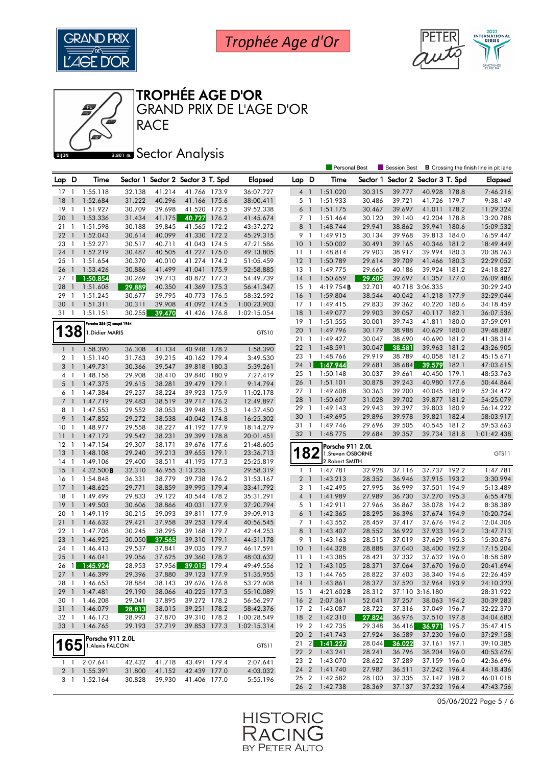





**RACE** GRAND PRIX DE L'AGE D'OR

#### **Bana** Sector Analysis

|                 |                          |                            |        |        |                                   |       |                |                 |                | <b>Personal Best</b> |                  | Session Best             |                              |       | <b>B</b> Crossing the finish line in pit lane |
|-----------------|--------------------------|----------------------------|--------|--------|-----------------------------------|-------|----------------|-----------------|----------------|----------------------|------------------|--------------------------|------------------------------|-------|-----------------------------------------------|
| Lap D           |                          | Time                       |        |        | Sector 1 Sector 2 Sector 3 T. Spd |       | <b>Elapsed</b> | Lap D           |                | Time                 | Sector 1         | Sector 2 Sector 3 T. Spd |                              |       | Elapsed                                       |
| 17              | $\overline{1}$           | 1:55.118                   | 32.138 | 41.214 | 41.766 173.9                      |       | 36:07.727      | $4-1$           |                | 1:51.020             | 30.315           | 39.777                   | 40.928 178.8                 |       | 7:46.216                                      |
| 18              | $\mathbf{1}$             | 1:52.684                   | 31.222 | 40.296 | 41.166 175.6                      |       | 38:00.411      | 5 <sub>1</sub>  |                | 1:51.933             | 30.486           | 39.721                   | 41.726 179.7                 |       | 9:38.149                                      |
| 19              | -1                       | 1:51.927                   | 30.709 | 39.698 | 41.520 172.5                      |       | 39:52.338      | $6-1$           |                | 1:51.175             | 30.467           | 39.697                   | 41.011 178.2                 |       | 11:29.324                                     |
| 20              | $\overline{1}$           | 1:53.336                   | 31.434 | 41.175 | 40.727                            | 176.2 | 41:45.674      | 7 <sub>1</sub>  |                | 1:51.464             | 30.120           | 39.140                   | 42.204 178.8                 |       | 13:20.788                                     |
| 211             |                          | 1:51.598                   | 30.188 | 39.845 | 41.565 172.2                      |       | 43:37.272      | 8               | $\overline{1}$ | 1:48.744             | 29.941           | 38.862                   | 39.941 180.6                 |       | 15:09.532                                     |
| 22              | $\overline{\phantom{a}}$ | 1:52.043                   | 30.614 | 40.099 | 41.330 172.2                      |       | 45:29.315      | 9 1             |                | 1:49.915             | 30.134           | 39.968                   | 39.813 184.0                 |       | 16:59.447                                     |
| 23 1            |                          | 1:52.271                   | 30.517 | 40.711 | 41.043 174.5                      |       | 47:21.586      | 10              | $\overline{1}$ | 1:50.002             | 30.491           | 39.165                   | 40.346 181.2                 |       | 18:49.449                                     |
| 24              | $\overline{1}$           | 1:52.219                   | 30.487 | 40.505 | 41.227 175.0                      |       | 49:13.805      | $11-1$          |                | 1:48.814             | 29.903           | 38.917                   | 39.994 180.3                 |       | 20:38.263                                     |
| 25              | -1                       | 1:51.654                   | 30.370 | 40.010 | 41.274 174.2                      |       | 51:05.459      | $12-1$          |                | 1:50.789             | 29.614           | 39.709                   | 41.466 180.3                 |       | 22:29.052                                     |
| 26              | $\overline{1}$           | 1:53.426                   | 30.886 | 41.499 | 41.041 175.9                      |       | 52:58.885      | $13-1$          |                | 1:49.775             | 29.665           | 40.186                   | 39.924 181.2                 |       | 24:18.827                                     |
| 27              | $\overline{1}$           | 1:50.854                   | 30.269 | 39.713 | 40.872 177.3                      |       | 54:49.739      | $14-1$          |                | 1:50.659             | 29.605           | 39.697                   | 41.357 177.0                 |       | 26:09.486                                     |
| 28              | $\overline{1}$           | 1:51.608                   | 29.889 | 40.350 | 41.369 175.3                      |       | 56:41.347      | $15-1$          |                | 4:19.754B            | 32.701           |                          | 40.718 3:06.335              |       | 30:29.240                                     |
| 29              | -1                       | 1:51.245                   | 30.677 | 39.795 | 40.773 176.5                      |       | 58:32.592      | 16              | $\overline{1}$ | 1:59.804             | 38.544           | 40.042                   | 41.218 177.9                 |       | 32:29.044                                     |
| 30              | $\overline{1}$           | 1:51.311                   | 30.311 | 39.908 | 41.092 174.5                      |       | 1:00:23.903    | $17-1$          |                | 1:49.415             | 29.833           | 39.362                   | 40.220 180.6                 |       | 34:18.459                                     |
| 31              | - 1                      | 1:51.151                   | 30.255 | 39.470 | 41.426 176.8                      |       | 1:02:15.054    | 18              | $\overline{1}$ | 1:49.077             | 29.903           | 39.057                   | 40.117 182.1                 |       | 36:07.536                                     |
|                 |                          |                            |        |        |                                   |       |                | 19 1            |                | 1:51.555             | 30.001           | 39.743                   | 41.811                       | 180.0 | 37:59.091                                     |
|                 |                          | Porsche 356 (C) coupé 1964 |        |        |                                   |       |                | 20              | $\overline{1}$ | 1:49.796             | 30.179           | 38.988                   | 40.629 180.0                 |       | 39:48.887                                     |
|                 | 138                      | 1. Didier MARIS            |        |        |                                   |       | GTS10          | 21 1            |                | 1:49.427             | 30.047           | 38.690                   | 40.690 181.2                 |       | 41:38.314                                     |
|                 |                          |                            |        |        |                                   |       |                | 221             |                |                      |                  |                          | 39.963 181.2                 |       |                                               |
| $1\quad$        |                          | 1:58.390                   | 36.308 | 41.134 | 40.948 178.2                      |       | 1:58.390       |                 |                | 1:48.591<br>1:48.766 | 30.047           | 38.581<br>38.789         | 40.058 181.2                 |       | 43:26.905<br>45:15.671                        |
| 2 1             |                          | 1:51.140                   | 31.763 | 39.215 | 40.162 179.4                      |       | 3:49.530       | 23 1            | $\mathbf{1}$   | 1:47.944             | 29.919<br>29.681 |                          | 39.579                       | 182.1 | 47:03.615                                     |
| $3-1$           |                          | 1:49.731                   | 30.366 | 39.547 | 39.818                            | 180.3 | 5:39.261       | 24              |                |                      |                  | 38.684                   |                              |       |                                               |
| 4 1             |                          | 1:48.158                   | 29.908 | 38.410 | 39.840 180.9                      |       | 7:27.419       | 25 1            |                | 1:50.148<br>1:51.101 | 30.037           | 39.661<br>39.243         | 40.450 179.1                 |       | 48:53.763                                     |
| 5 <sub>1</sub>  |                          | 1:47.375                   | 29.615 | 38.281 | 39.479 179.1                      |       | 9:14.794       | 26 1            |                |                      | 30.878           |                          | 40.980 177.6                 |       | 50:44.864                                     |
| 61              |                          | 1:47.384                   | 29.237 | 38.224 | 39.923 175.9                      |       | 11:02.178      | 27 <sub>1</sub> |                | 1:49.608             | 30.363           | 39.200                   | 40.045 180.9<br>39.877       |       | 52:34.472                                     |
| 7 <sup>1</sup>  |                          | 1:47.719                   | 29.483 | 38.519 | 39.717 176.2                      |       | 12:49.897      | 28 1            |                | 1:50.607             | 31.028           | 39.702                   |                              | 181.2 | 54:25.079                                     |
| 8               | $\overline{1}$           | 1:47.553                   | 29.552 | 38.053 | 39.948                            | 175.3 | 14:37.450      | 29 1            |                | 1:49.143             | 29.943           | 39.397                   | 39.803 180.9                 |       | 56:14.222                                     |
| 9               | $\overline{1}$           | 1:47.852                   | 29.272 | 38.538 | 40.042 174.8                      |       | 16:25.302      | 30              | $\overline{1}$ | 1:49.695             | 29.896           | 39.978                   | 39.821 182.4                 |       | 58:03.917                                     |
| 10 <sub>1</sub> |                          | 1:48.977                   | 29.558 | 38.227 | 41.192 177.9                      |       | 18:14.279      | 31<br>32 1      | $\overline{1}$ | 1:49.746             | 29.696<br>29.684 | 39.505                   | 40.545 181.2<br>39.734 181.8 |       | 59:53.663                                     |
| 11              | $\overline{1}$           | 1:47.172                   | 29.542 | 38.231 | 39.399 178.8                      |       | 20:01.451      |                 |                | 1:48.775             |                  | 39.357                   |                              |       | 1:01:42.438                                   |
| 12              | -1                       | 1:47.154                   | 29.307 | 38.171 | 39.676 177.6                      |       | 21:48.605      |                 |                | Porsche 911 2.0L     |                  |                          |                              |       |                                               |
| 13              | $\overline{1}$           | 1:48.108                   | 29.240 | 39.213 | 39.655 179.1                      |       | 23:36.713      |                 | 82             | 1.Steven OSBORNE     |                  |                          |                              |       | GTS11                                         |
| $14-1$          |                          | 1:49.106                   | 29.400 | 38.511 | 41.195 177.3                      |       | 25:25.819      |                 |                | 2. Robert SMITH      |                  |                          |                              |       |                                               |
| 15              | $\overline{1}$           | $4:32.500$ <b>B</b>        | 32.310 |        | 46.955 3:13.235                   |       | 29:58.319      | 1               | -1             | 1:47.781             | 32.928           | 37.116                   | 37.737 192.2                 |       | 1:47.781                                      |
| 16              | -1                       | 1:54.848                   | 36.331 | 38.779 | 39.738 176.2                      |       | 31:53.167      | 2 <sub>1</sub>  |                | 1:43.213             | 28.352           | 36.946                   | 37.915 193.2                 |       | 3:30.994                                      |
| 17              | $\mathbf{1}$             | 1:48.625                   | 29.771 | 38.859 | 39.995                            | 179.4 | 33:41.792      | 3 <sub>1</sub>  |                | 1:42.495             | 27.995           | 36.999                   | 37.501 194.9                 |       | 5:13.489                                      |
| 18              | $\mathbf{1}$             | 1:49.499                   | 29.833 | 39.122 | 40.544 178.2                      |       | 35:31.291      | 4 <sup>1</sup>  |                | 1:41.989             | 27.989           | 36.730                   | 37.270 195.3                 |       | 6:55.478                                      |
| 19              | $\overline{1}$           | 1:49.503                   | 30.606 | 38.866 | 40.031 177.9                      |       | 37:20.794      | 5 <sub>1</sub>  |                | 1:42.911             | 27.966           | 36.867                   | 38.078 194.2                 |       | 8:38.389                                      |
| 20              | $\overline{1}$           | 1:49.119                   | 30.215 | 39.093 | 39.811 177.9                      |       | 39:09.913      | 6 <sup>1</sup>  |                | 1:42.365             | 28.295           | 36.396                   | 37.674 194.9                 |       | 10:20.754                                     |
| 21              | $\overline{1}$           | 1:46.632                   | 29.421 | 37.958 | 39.253 179.4                      |       | 40:56.545      | 7 <sub>1</sub>  |                | 1:43.552             | 28.459           | 37.417                   | 37.676 194.2                 |       | 12:04.306                                     |
| 22              | -1                       | 1:47.708                   | 30.245 | 38.295 | 39.168 179.7                      |       | 42:44.253      | 8               | $\overline{1}$ | 1:43.407             | 28.552           | 36.922                   | 37.933 194.2                 |       | 13:47.713                                     |
| 23              | $\overline{1}$           | 1:46.925                   | 30.050 | 37.565 | 39.310 179.1                      |       | 44:31.178      | 9 1             |                | 1:43.163             | 28.515           | 37.019                   | 37.629 195.3                 |       | 15:30.876                                     |
| 24              | $\overline{1}$           | 1:46.413                   | 29.537 | 37.841 | 39.035 179.7                      |       | 46:17.591      | 10              | $\overline{1}$ | 1:44.328             | 28.888           | 37.040                   | 38.400 192.9                 |       | 17:15.204                                     |
| 25              | $\overline{1}$           | 1:46.041                   | 29.056 | 37.625 | 39.360 178.2                      |       | 48:03.632      | 11              | $\overline{1}$ | 1:43.385             | 28.421           | 37.332                   | 37.632 196.0                 |       | 18:58.589                                     |
|                 |                          | 26 1 1:45.924              | 28.953 | 37.956 | 39.015 179.4                      |       | 49:49.556      | $12-1$          |                | 1:43.105             | 28.371           | 37.064                   | 37.670 196.0                 |       | 20:41.694                                     |
|                 |                          | 27 1 1:46.399              | 29.396 | 37.880 | 39.123 177.9                      |       | 51:35.955      |                 |                | 13 1 1:44.765        | 28.822           | 37.603                   | 38.340 194.6                 |       | 22:26.459                                     |
|                 |                          | 28 1 1:46.653              | 28.884 | 38.143 | 39.626 176.8                      |       | 53:22.608      |                 |                | 14 1 1:43.861        | 28.377           | 37.520                   | 37.964 193.9                 |       | 24:10.320                                     |
| $29-1$          |                          | 1:47.481                   | 29.190 | 38.066 | 40.225 177.3                      |       | 55:10.089      | $15-1$          |                | 4:21.602 <b>B</b>    | 28.312           |                          | 37.110 3:16.180              |       | 28:31.922                                     |
| 30 1            |                          | 1:46.208                   | 29.041 | 37.895 | 39.272 178.2                      |       | 56:56.297      |                 |                | 16 2 2:07.361        | 52.041           | 37.257                   | 38.063 194.2                 |       | 30:39.283                                     |
| $31 \quad 1$    |                          | 1:46.079                   | 28.813 | 38.015 | 39.251 178.2                      |       | 58:42.376      |                 |                | 17 2 1:43.087        | 28.722           | 37.316                   | 37.049 196.7                 |       | 32:22.370                                     |
|                 |                          | 32 1 1:46.173              | 28.993 | 37.870 | 39.310 178.2                      |       | 1:00:28.549    |                 |                | 18 2 1:42.310        | 27.824           | 36.976                   | 37.510 197.8                 |       | 34:04.680                                     |
|                 |                          | 33 1 1:46.765              | 29.193 | 37.719 | 39.853 177.3                      |       | 1:02:15.314    |                 |                | 19 2 1:42.735        | 29.348           | 36.416                   | 36.971 195.7                 |       | 35:47.415                                     |
|                 |                          | Porsche 911 2.0L           |        |        |                                   |       |                |                 |                | 20 2 1:41.743        | 27.924           | 36.589                   | 37.230 196.0                 |       | 37:29.158                                     |
| 165             |                          | 1. Alexis FALCON           |        |        |                                   |       | GTS11          |                 |                | 21 2 1:41.227        | 28.044           | 36.022                   | 37.161 197.1                 |       | 39:10.385                                     |
|                 |                          |                            |        |        |                                   |       |                |                 |                | 22 2 1:43.241        | 28.241           | 36.796                   | 38.204 196.0                 |       | 40:53.626                                     |
| $1 \quad 1$     |                          | 2:07.641                   | 42.432 | 41.718 | 43.491 179.4                      |       | 2:07.641       |                 |                | 23 2 1:43.070        | 28.622           | 37.289                   | 37.159 196.0                 |       | 42:36.696                                     |
| 2 <sub>1</sub>  |                          | 1:55.391                   | 31.800 | 41.152 | 42.439 177.0                      |       | 4:03.032       |                 |                | 24 2 1:41.740        | 27.987           | 36.511                   | 37.242 196.4                 |       | 44:18.436                                     |
|                 | 31                       | 1:52.164                   | 30.828 | 39.930 | 41.406 177.0                      |       | 5:55.196       |                 |                | 25 2 1:42.582        | 28.100           | 37.335                   | 37.147 198.2                 |       | 46:01.018                                     |
|                 |                          |                            |        |        |                                   |       |                |                 |                | 26 2 1:42.738        | 28.369           | 37.137                   | 37.232 196.4                 |       | 47:43.756                                     |

05/06/2022 Page 5 / 6